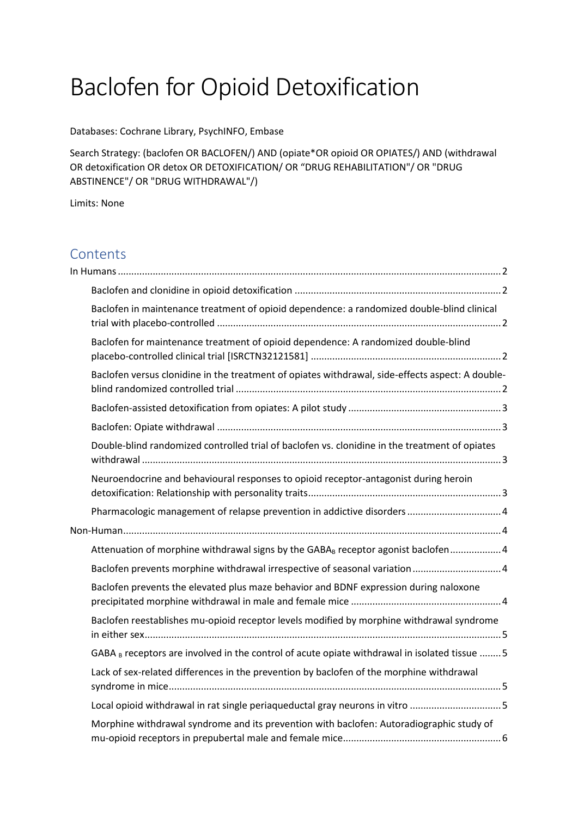# Baclofen for Opioid Detoxification

Databases: Cochrane Library, PsychINFO, Embase

Search Strategy: (baclofen OR BACLOFEN/) AND (opiate\*OR opioid OR OPIATES/) AND (withdrawal OR detoxification OR detox OR DETOXIFICATION/ OR "DRUG REHABILITATION"/ OR "DRUG ABSTINENCE"/ OR "DRUG WITHDRAWAL"/)

Limits: None

## Contents

| Baclofen in maintenance treatment of opioid dependence: a randomized double-blind clinical       |  |
|--------------------------------------------------------------------------------------------------|--|
| Baclofen for maintenance treatment of opioid dependence: A randomized double-blind               |  |
| Baclofen versus clonidine in the treatment of opiates withdrawal, side-effects aspect: A double- |  |
|                                                                                                  |  |
|                                                                                                  |  |
| Double-blind randomized controlled trial of baclofen vs. clonidine in the treatment of opiates   |  |
| Neuroendocrine and behavioural responses to opioid receptor-antagonist during heroin             |  |
|                                                                                                  |  |
|                                                                                                  |  |
| Attenuation of morphine withdrawal signs by the GABA <sub>B</sub> receptor agonist baclofen 4    |  |
| Baclofen prevents morphine withdrawal irrespective of seasonal variation  4                      |  |
| Baclofen prevents the elevated plus maze behavior and BDNF expression during naloxone            |  |
| Baclofen reestablishes mu-opioid receptor levels modified by morphine withdrawal syndrome        |  |
| GABA B receptors are involved in the control of acute opiate withdrawal in isolated tissue  5    |  |
| Lack of sex-related differences in the prevention by baclofen of the morphine withdrawal         |  |
| Local opioid withdrawal in rat single periaqueductal gray neurons in vitro 5                     |  |
| Morphine withdrawal syndrome and its prevention with baclofen: Autoradiographic study of         |  |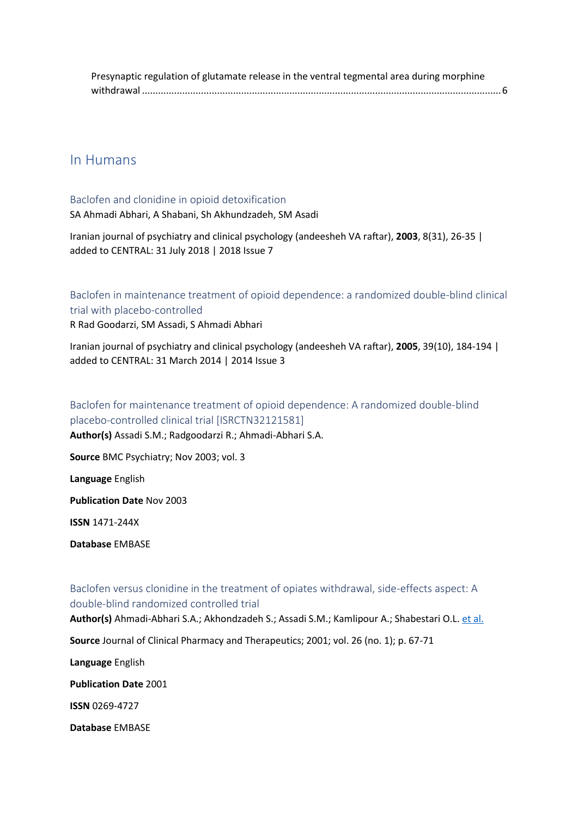| Presynaptic regulation of glutamate release in the ventral tegmental area during morphine |  |
|-------------------------------------------------------------------------------------------|--|
|                                                                                           |  |

## <span id="page-1-0"></span>In Humans

## <span id="page-1-1"></span>Baclofen and clonidine in opioid detoxification

SA Ahmadi Abhari, A Shabani, Sh Akhundzadeh, SM Asadi

Iranian journal of psychiatry and clinical psychology (andeesheh VA raftar), **2003**, 8(31), 26‐35 | added to CENTRAL: 31 July 2018 | 2018 Issue 7

<span id="page-1-2"></span>Baclofen in maintenance treatment of opioid dependence: a randomized double-blind clinical trial with placebo-controlled

R Rad Goodarzi, SM Assadi, S Ahmadi Abhari

Iranian journal of psychiatry and clinical psychology (andeesheh VA raftar), **2005**, 39(10), 184‐194 | added to CENTRAL: 31 March 2014 | 2014 Issue 3

## <span id="page-1-3"></span>Baclofen for maintenance treatment of opioid dependence: A randomized double-blind placebo-controlled clinical trial [ISRCTN32121581]

**Author(s)** Assadi S.M.; Radgoodarzi R.; Ahmadi-Abhari S.A.

**Source** BMC Psychiatry; Nov 2003; vol. 3

**Language** English

**Publication Date** Nov 2003

**ISSN** 1471-244X

**Database** EMBASE

## <span id="page-1-4"></span>Baclofen versus clonidine in the treatment of opiates withdrawal, side-effects aspect: A double-blind randomized controlled trial

**Author(s)** Ahmadi-Abhari S.A.; Akhondzadeh S.; Assadi S.M.; Kamlipour A.; Shabestari O.L. [et al.](javascript:void(0);)

**Source** Journal of Clinical Pharmacy and Therapeutics; 2001; vol. 26 (no. 1); p. 67-71

**Language** English

**Publication Date** 2001

**ISSN** 0269-4727

**Database** EMBASE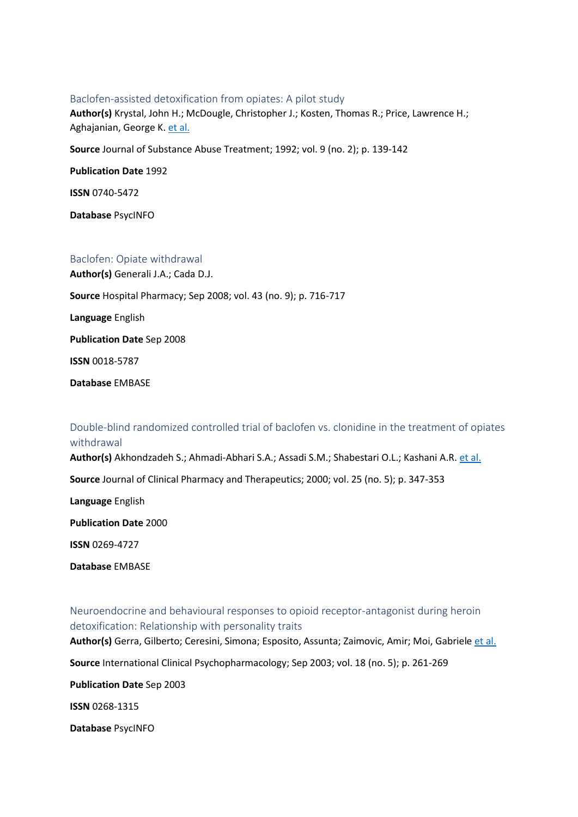#### <span id="page-2-0"></span>Baclofen-assisted detoxification from opiates: A pilot study

**Author(s)** Krystal, John H.; McDougle, Christopher J.; Kosten, Thomas R.; Price, Lawrence H.; Aghajanian, George K. [et al.](javascript:void(0);)

**Source** Journal of Substance Abuse Treatment; 1992; vol. 9 (no. 2); p. 139-142

**Publication Date** 1992

**ISSN** 0740-5472

**Database** PsycINFO

#### <span id="page-2-1"></span>Baclofen: Opiate withdrawal

**Author(s)** Generali J.A.; Cada D.J.

**Source** Hospital Pharmacy; Sep 2008; vol. 43 (no. 9); p. 716-717

**Language** English

**Publication Date** Sep 2008

**ISSN** 0018-5787

**Database** EMBASE

### <span id="page-2-2"></span>Double-blind randomized controlled trial of baclofen vs. clonidine in the treatment of opiates withdrawal

Author(s) Akhondzadeh S.; Ahmadi-Abhari S.A.; Assadi S.M.; Shabestari O.L.; Kashani A.R. [et al.](javascript:void(0);)

**Source** Journal of Clinical Pharmacy and Therapeutics; 2000; vol. 25 (no. 5); p. 347-353

**Language** English

**Publication Date** 2000

**ISSN** 0269-4727

**Database** EMBASE

<span id="page-2-3"></span>Neuroendocrine and behavioural responses to opioid receptor-antagonist during heroin detoxification: Relationship with personality traits

**Author(s)** Gerra, Gilberto; Ceresini, Simona; Esposito, Assunta; Zaimovic, Amir; Moi, Gabriele [et al.](javascript:void(0);)

**Source** International Clinical Psychopharmacology; Sep 2003; vol. 18 (no. 5); p. 261-269

**Publication Date** Sep 2003

**ISSN** 0268-1315

**Database** PsycINFO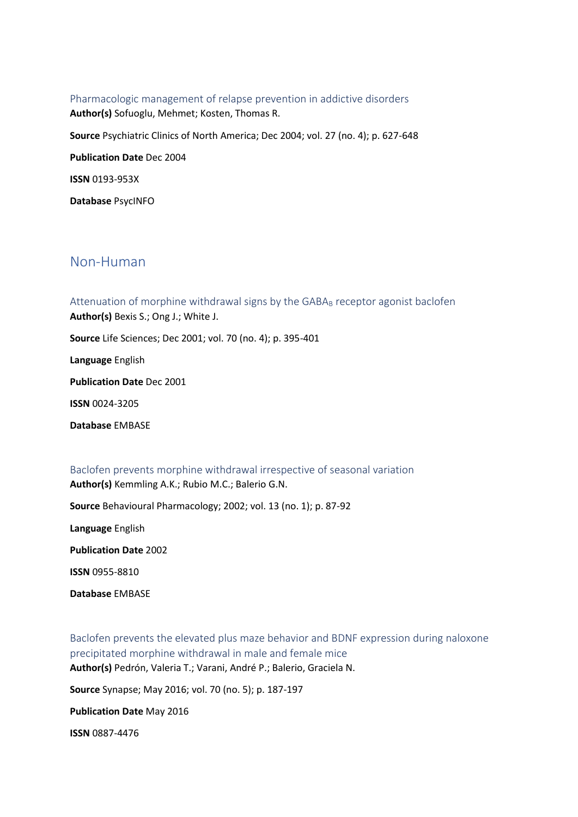<span id="page-3-0"></span>Pharmacologic management of relapse prevention in addictive disorders **Author(s)** Sofuoglu, Mehmet; Kosten, Thomas R. **Source** Psychiatric Clinics of North America; Dec 2004; vol. 27 (no. 4); p. 627-648 **Publication Date** Dec 2004 **ISSN** 0193-953X **Database** PsycINFO

## <span id="page-3-1"></span>Non-Human

<span id="page-3-2"></span>Attenuation of morphine withdrawal signs by the GABAB receptor agonist baclofen **Author(s)** Bexis S.; Ong J.; White J. **Source** Life Sciences; Dec 2001; vol. 70 (no. 4); p. 395-401 **Language** English **Publication Date** Dec 2001 **ISSN** 0024-3205 **Database** EMBASE

<span id="page-3-3"></span>Baclofen prevents morphine withdrawal irrespective of seasonal variation **Author(s)** Kemmling A.K.; Rubio M.C.; Balerio G.N. **Source** Behavioural Pharmacology; 2002; vol. 13 (no. 1); p. 87-92 **Language** English **Publication Date** 2002 **ISSN** 0955-8810

**Database** EMBASE

<span id="page-3-4"></span>Baclofen prevents the elevated plus maze behavior and BDNF expression during naloxone precipitated morphine withdrawal in male and female mice **Author(s)** Pedrón, Valeria T.; Varani, André P.; Balerio, Graciela N.

**Source** Synapse; May 2016; vol. 70 (no. 5); p. 187-197

**Publication Date** May 2016

**ISSN** 0887-4476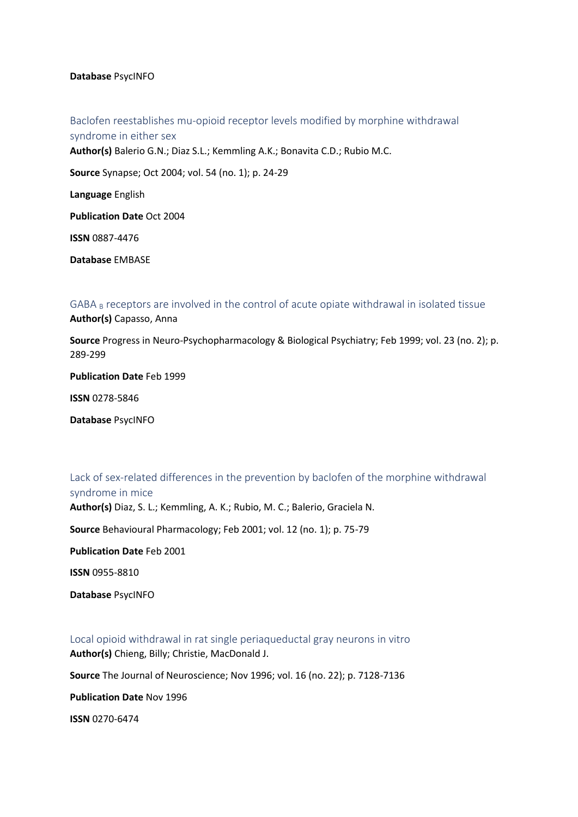#### **Database** PsycINFO

<span id="page-4-0"></span>Baclofen reestablishes mu-opioid receptor levels modified by morphine withdrawal syndrome in either sex **Author(s)** Balerio G.N.; Diaz S.L.; Kemmling A.K.; Bonavita C.D.; Rubio M.C. **Source** Synapse; Oct 2004; vol. 54 (no. 1); p. 24-29 **Language** English **Publication Date** Oct 2004 **ISSN** 0887-4476 **Database** EMBASE

<span id="page-4-1"></span>GABA <sup>B</sup> receptors are involved in the control of acute opiate withdrawal in isolated tissue **Author(s)** Capasso, Anna

**Source** Progress in Neuro-Psychopharmacology & Biological Psychiatry; Feb 1999; vol. 23 (no. 2); p. 289-299

**Publication Date** Feb 1999

**ISSN** 0278-5846

<span id="page-4-2"></span>**Database** PsycINFO

Lack of sex-related differences in the prevention by baclofen of the morphine withdrawal syndrome in mice

**Author(s)** Diaz, S. L.; Kemmling, A. K.; Rubio, M. C.; Balerio, Graciela N.

**Source** Behavioural Pharmacology; Feb 2001; vol. 12 (no. 1); p. 75-79

**Publication Date** Feb 2001

**ISSN** 0955-8810

**Database** PsycINFO

<span id="page-4-3"></span>Local opioid withdrawal in rat single periaqueductal gray neurons in vitro **Author(s)** Chieng, Billy; Christie, MacDonald J.

**Source** The Journal of Neuroscience; Nov 1996; vol. 16 (no. 22); p. 7128-7136

**Publication Date** Nov 1996

**ISSN** 0270-6474